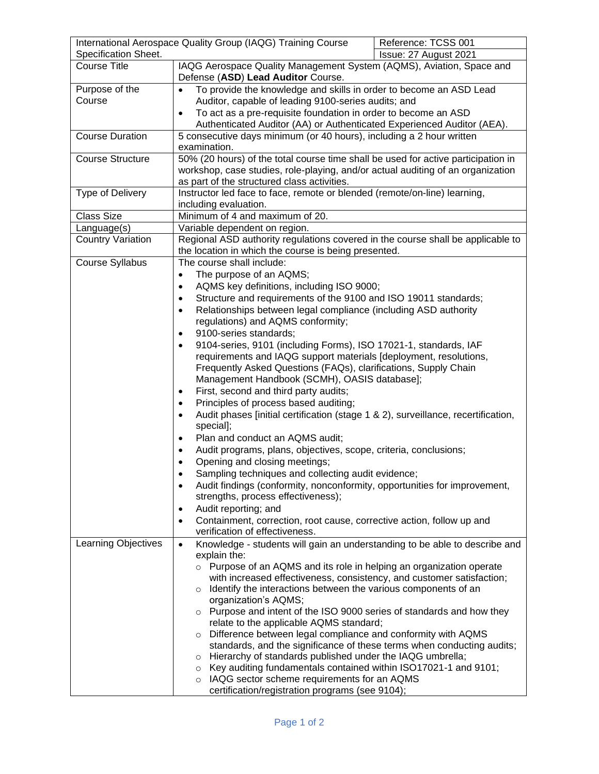| International Aerospace Quality Group (IAQG) Training Course |                                                                                                            | Reference: TCSS 001   |
|--------------------------------------------------------------|------------------------------------------------------------------------------------------------------------|-----------------------|
| Specification Sheet.                                         |                                                                                                            | Issue: 27 August 2021 |
| <b>Course Title</b>                                          | IAQG Aerospace Quality Management System (AQMS), Aviation, Space and<br>Defense (ASD) Lead Auditor Course. |                       |
| Purpose of the                                               | To provide the knowledge and skills in order to become an ASD Lead<br>$\bullet$                            |                       |
| Course                                                       | Auditor, capable of leading 9100-series audits; and                                                        |                       |
|                                                              | To act as a pre-requisite foundation in order to become an ASD<br>$\bullet$                                |                       |
|                                                              | Authenticated Auditor (AA) or Authenticated Experienced Auditor (AEA).                                     |                       |
| <b>Course Duration</b>                                       | 5 consecutive days minimum (or 40 hours), including a 2 hour written<br>examination.                       |                       |
| <b>Course Structure</b>                                      | 50% (20 hours) of the total course time shall be used for active participation in                          |                       |
|                                                              | workshop, case studies, role-playing, and/or actual auditing of an organization                            |                       |
|                                                              | as part of the structured class activities.                                                                |                       |
| Type of Delivery                                             | Instructor led face to face, remote or blended (remote/on-line) learning,                                  |                       |
|                                                              | including evaluation.                                                                                      |                       |
| Class Size                                                   | Minimum of 4 and maximum of 20.<br>Variable dependent on region.                                           |                       |
| Language(s)                                                  |                                                                                                            |                       |
| <b>Country Variation</b>                                     | Regional ASD authority regulations covered in the course shall be applicable to                            |                       |
| Course Syllabus                                              | the location in which the course is being presented.<br>The course shall include:                          |                       |
|                                                              | The purpose of an AQMS;<br>$\bullet$                                                                       |                       |
|                                                              | AQMS key definitions, including ISO 9000;<br>$\bullet$                                                     |                       |
|                                                              | Structure and requirements of the 9100 and ISO 19011 standards;<br>$\bullet$                               |                       |
|                                                              | Relationships between legal compliance (including ASD authority<br>$\bullet$                               |                       |
|                                                              | regulations) and AQMS conformity;                                                                          |                       |
|                                                              | 9100-series standards;<br>$\bullet$                                                                        |                       |
|                                                              | 9104-series, 9101 (including Forms), ISO 17021-1, standards, IAF<br>$\bullet$                              |                       |
|                                                              | requirements and IAQG support materials [deployment, resolutions,                                          |                       |
|                                                              | Frequently Asked Questions (FAQs), clarifications, Supply Chain                                            |                       |
|                                                              | Management Handbook (SCMH), OASIS database];                                                               |                       |
|                                                              | First, second and third party audits;<br>$\bullet$                                                         |                       |
|                                                              | Principles of process based auditing;<br>$\bullet$                                                         |                       |
|                                                              | Audit phases [initial certification (stage 1 & 2), surveillance, recertification,<br>$\bullet$             |                       |
|                                                              | special];                                                                                                  |                       |
|                                                              | Plan and conduct an AQMS audit;<br>$\bullet$                                                               |                       |
|                                                              | Audit programs, plans, objectives, scope, criteria, conclusions;<br>$\bullet$                              |                       |
|                                                              | Opening and closing meetings;<br>$\bullet$                                                                 |                       |
|                                                              | Sampling techniques and collecting audit evidence;<br>$\bullet$                                            |                       |
|                                                              | Audit findings (conformity, nonconformity, opportunities for improvement,<br>$\bullet$                     |                       |
|                                                              | strengths, process effectiveness);                                                                         |                       |
|                                                              | Audit reporting; and<br>$\bullet$                                                                          |                       |
|                                                              | Containment, correction, root cause, corrective action, follow up and<br>$\bullet$                         |                       |
|                                                              | verification of effectiveness.                                                                             |                       |
| Learning Objectives                                          | Knowledge - students will gain an understanding to be able to describe and<br>$\bullet$<br>explain the:    |                       |
|                                                              | Purpose of an AQMS and its role in helping an organization operate<br>$\circ$                              |                       |
|                                                              | with increased effectiveness, consistency, and customer satisfaction;                                      |                       |
|                                                              | o Identify the interactions between the various components of an                                           |                       |
|                                                              | organization's AQMS;                                                                                       |                       |
|                                                              | o Purpose and intent of the ISO 9000 series of standards and how they                                      |                       |
|                                                              | relate to the applicable AQMS standard;                                                                    |                       |
|                                                              | Difference between legal compliance and conformity with AQMS<br>$\circ$                                    |                       |
|                                                              | standards, and the significance of these terms when conducting audits;                                     |                       |
|                                                              | o Hierarchy of standards published under the IAQG umbrella;                                                |                       |
|                                                              | Key auditing fundamentals contained within ISO17021-1 and 9101;<br>$\circ$                                 |                       |
|                                                              | IAQG sector scheme requirements for an AQMS<br>$\circ$                                                     |                       |
|                                                              | certification/registration programs (see 9104);                                                            |                       |